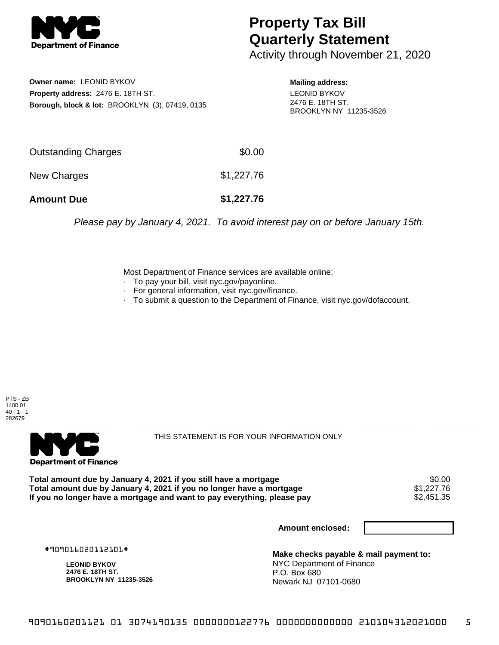

## **Property Tax Bill Quarterly Statement**

Activity through November 21, 2020

**Owner name:** LEONID BYKOV **Property address:** 2476 E. 18TH ST. **Borough, block & lot:** BROOKLYN (3), 07419, 0135 **Mailing address:** LEONID BYKOV 2476 E. 18TH ST. BROOKLYN NY 11235-3526

| <b>Amount Due</b>   | \$1,227.76 |
|---------------------|------------|
| New Charges         | \$1,227.76 |
| Outstanding Charges | \$0.00     |

Please pay by January 4, 2021. To avoid interest pay on or before January 15th.

Most Department of Finance services are available online:

- · To pay your bill, visit nyc.gov/payonline.
- For general information, visit nyc.gov/finance.
- · To submit a question to the Department of Finance, visit nyc.gov/dofaccount.





THIS STATEMENT IS FOR YOUR INFORMATION ONLY

Total amount due by January 4, 2021 if you still have a mortgage \$0.00<br>Total amount due by January 4, 2021 if you no longer have a mortgage \$1.227.76 **Total amount due by January 4, 2021 if you no longer have a mortgage**  $$1,227.76$ **<br>If you no longer have a mortgage and want to pay everything, please pay <b>show that allow the summan set of the** If you no longer have a mortgage and want to pay everything, please pay

**Amount enclosed:**

#909016020112101#

**LEONID BYKOV 2476 E. 18TH ST. BROOKLYN NY 11235-3526**

**Make checks payable & mail payment to:** NYC Department of Finance P.O. Box 680 Newark NJ 07101-0680